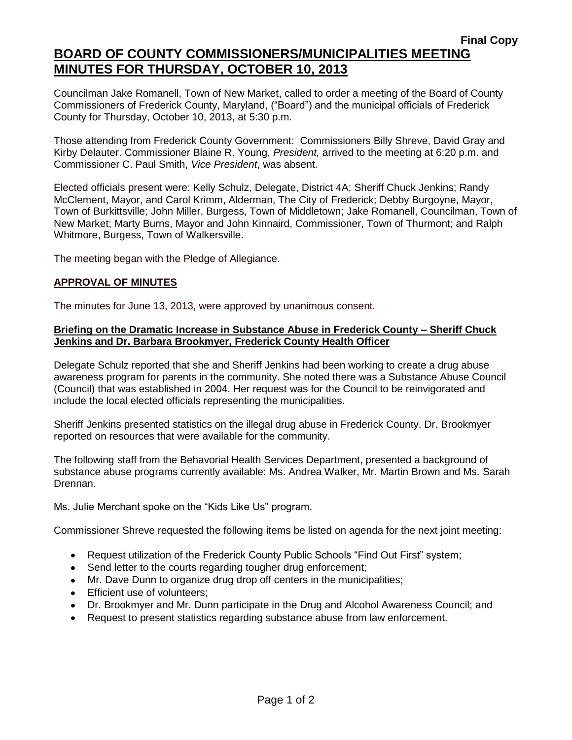# **BOARD OF COUNTY COMMISSIONERS/MUNICIPALITIES MEETING MINUTES FOR THURSDAY, OCTOBER 10, 2013**

Councilman Jake Romanell, Town of New Market, called to order a meeting of the Board of County Commissioners of Frederick County, Maryland, ("Board") and the municipal officials of Frederick County for Thursday, October 10, 2013, at 5:30 p.m.

Those attending from Frederick County Government: Commissioners Billy Shreve, David Gray and Kirby Delauter. Commissioner Blaine R. Young, *President,* arrived to the meeting at 6:20 p.m. and Commissioner C. Paul Smith, *Vice President*, was absent.

Elected officials present were: Kelly Schulz, Delegate, District 4A; Sheriff Chuck Jenkins; Randy McClement, Mayor, and Carol Krimm, Alderman, The City of Frederick; Debby Burgoyne, Mayor, Town of Burkittsville; John Miller, Burgess, Town of Middletown; Jake Romanell, Councilman, Town of New Market; Marty Burns, Mayor and John Kinnaird, Commissioner, Town of Thurmont; and Ralph Whitmore, Burgess, Town of Walkersville.

The meeting began with the Pledge of Allegiance.

# **APPROVAL OF MINUTES**

The minutes for June 13, 2013, were approved by unanimous consent.

#### **Briefing on the Dramatic Increase in Substance Abuse in Frederick County – Sheriff Chuck Jenkins and Dr. Barbara Brookmyer, Frederick County Health Officer**

Delegate Schulz reported that she and Sheriff Jenkins had been working to create a drug abuse awareness program for parents in the community. She noted there was a Substance Abuse Council (Council) that was established in 2004. Her request was for the Council to be reinvigorated and include the local elected officials representing the municipalities.

Sheriff Jenkins presented statistics on the illegal drug abuse in Frederick County. Dr. Brookmyer reported on resources that were available for the community.

The following staff from the Behavorial Health Services Department, presented a background of substance abuse programs currently available: Ms. Andrea Walker, Mr. Martin Brown and Ms. Sarah Drennan.

Ms. Julie Merchant spoke on the "Kids Like Us" program.

Commissioner Shreve requested the following items be listed on agenda for the next joint meeting:

- Request utilization of the Frederick County Public Schools "Find Out First" system;
- Send letter to the courts regarding tougher drug enforcement;
- Mr. Dave Dunn to organize drug drop off centers in the municipalities;
- Efficient use of volunteers;
- Dr. Brookmyer and Mr. Dunn participate in the Drug and Alcohol Awareness Council; and
- Request to present statistics regarding substance abuse from law enforcement.